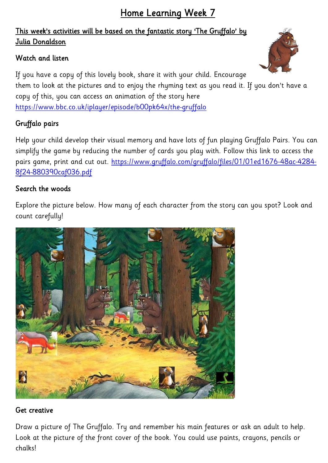# This week's activities will be based on the fantastic story 'The Gruffalo' by Julia Donaldson

## Watch and listen



If you have a copy of this lovely book, share it with your child. Encourage them to look at the pictures and to enjoy the rhyming text as you read it. If you don't have a copy of this, you can access an animation of the story here <https://www.bbc.co.uk/iplayer/episode/b00pk64x/the-gruffalo>

## Gruffalo pairs

Help your child develop their visual memory and have lots of fun playing Gruffalo Pairs. You can simplify the game by reducing the number of cards you play with. Follow this link to access the pairs game, print and cut out. [https://www.gruffalo.com/gruffalo/files/01/01ed1676-48ac-4284-](https://www.gruffalo.com/gruffalo/files/01/01ed1676-48ac-4284-8f24-880390caf036.pdf) [8f24-880390caf036.pdf](https://www.gruffalo.com/gruffalo/files/01/01ed1676-48ac-4284-8f24-880390caf036.pdf)

### Search the woods

Explore the picture below. How many of each character from the story can you spot? Look and count carefully!



### Get creative

Draw a picture of The Gruffalo. Try and remember his main features or ask an adult to help. Look at the picture of the front cover of the book. You could use paints, crayons, pencils or chalks!